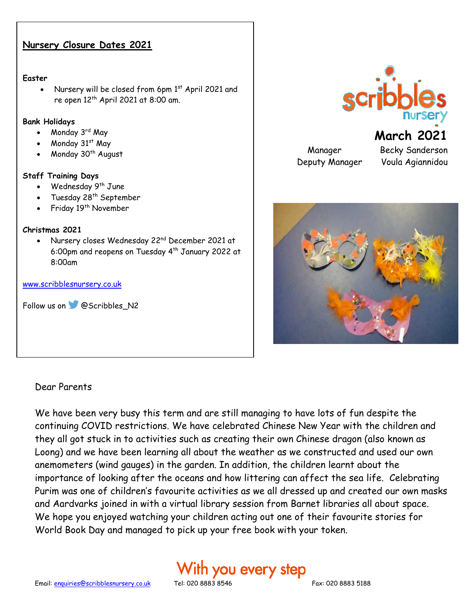### **Nursery Closure Dates 2021**

#### **Easter**

Nursery will be closed from 6pm 1st April 2021 and re open  $12<sup>th</sup>$  April 2021 at 8:00 am.

### **Bank Holidays**

- Monday 3rd May
- Monday  $31<sup>st</sup>$  May
- Monday 30<sup>th</sup> August

### **Staff Training Days**

- Wednesday 9<sup>th</sup> June
- Tuesday 28<sup>th</sup> September
- Friday 19<sup>th</sup> November

### **Christmas 2021**

• Nursery closes Wednesday 22<sup>nd</sup> December 2021 at 6:00pm and reopens on Tuesday 4th January 2022 at 8:00am

#### [www.scribblesnursery.co.uk](http://www.scribblesnursery.co.uk/)

Follow us on **@Scribbles\_N2** 

### Dear Parents

We have been very busy this term and are still managing to have lots of fun despite the continuing COVID restrictions. We have celebrated Chinese New Year with the children and they all got stuck in to activities such as creating their own Chinese dragon (also known as Loong) and we have been learning all about the weather as we constructed and used our own anemometers (wind gauges) in the garden. In addition, the children learnt about the importance of looking after the oceans and how littering can affect the sea life. Celebrating Purim was one of children's favourite activities as we all dressed up and created our own masks and Aardvarks joined in with a virtual library session from Barnet libraries all about space. We hope you enjoyed watching your children acting out one of their favourite stories for World Book Day and managed to pick up your free book with your token.

# With you every step



Manager Becky Sanderson Deputy Manager Voula Agiannidou

**March 2021**



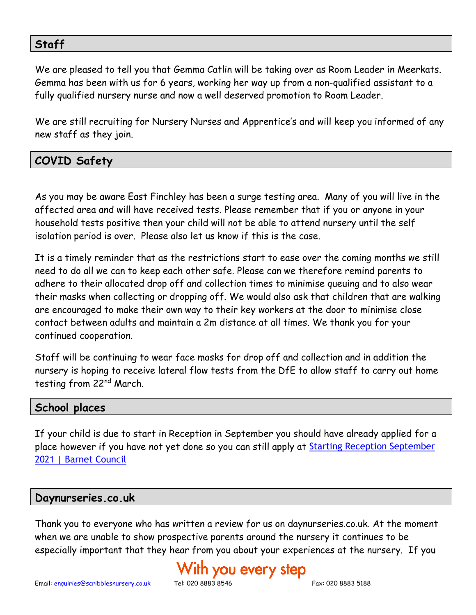## **Staff**

We are pleased to tell you that Gemma Catlin will be taking over as Room Leader in Meerkats. Gemma has been with us for 6 years, working her way up from a non-qualified assistant to a fully qualified nursery nurse and now a well deserved promotion to Room Leader.

We are still recruiting for Nursery Nurses and Apprentice's and will keep you informed of any new staff as they join.

## **COVID Safety**

As you may be aware East Finchley has been a surge testing area. Many of you will live in the affected area and will have received tests. Please remember that if you or anyone in your household tests positive then your child will not be able to attend nursery until the self isolation period is over. Please also let us know if this is the case.

It is a timely reminder that as the restrictions start to ease over the coming months we still need to do all we can to keep each other safe. Please can we therefore remind parents to adhere to their allocated drop off and collection times to minimise queuing and to also wear their masks when collecting or dropping off. We would also ask that children that are walking are encouraged to make their own way to their key workers at the door to minimise close contact between adults and maintain a 2m distance at all times. We thank you for your continued cooperation.

Staff will be continuing to wear face masks for drop off and collection and in addition the nursery is hoping to receive lateral flow tests from the DfE to allow staff to carry out home testing from 22nd March.

### **School places**

If your child is due to start in Reception in September you should have already applied for a place however if you have not yet done so you can still apply at **Starting Reception September** [2021 | Barnet Council](https://www.barnet.gov.uk/schools-and-education/school-admissions/apply-primary-school/starting-reception-september-2021)

### **Daynurseries.co.uk**

Thank you to everyone who has written a review for us on daynurseries.co.uk. At the moment when we are unable to show prospective parents around the nursery it continues to be especially important that they hear from you about your experiences at the nursery. If you

# 'ith you every step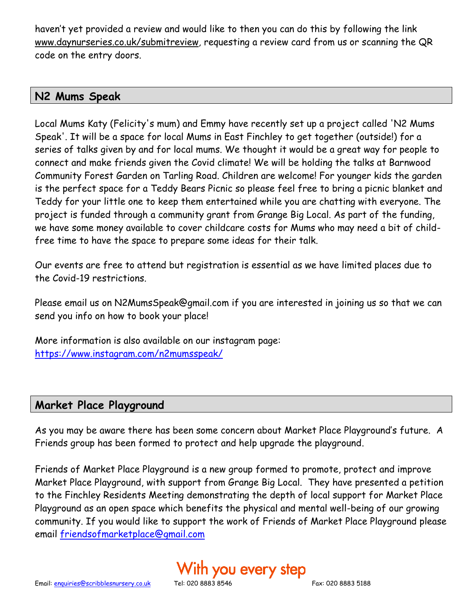haven't yet provided a review and would like to then you can do this by following the link [www.daynurseries.co.uk/submitreview](http://www.daynurseries.co.uk/submitreview)*,* requesting a review card from us or scanning the QR code on the entry doors.

## **N2 Mums Speak**

Local Mums Katy (Felicity's mum) and Emmy have recently set up a project called 'N2 Mums Speak'. It will be a space for local Mums in East Finchley to get together (outside!) for a series of talks given by and for local mums. We thought it would be a great way for people to connect and make friends given the Covid climate! We will be holding the talks at Barnwood Community Forest Garden on Tarling Road. Children are welcome! For younger kids the garden is the perfect space for a Teddy Bears Picnic so please feel free to bring a picnic blanket and Teddy for your little one to keep them entertained while you are chatting with everyone. The project is funded through a community grant from Grange Big Local. As part of the funding, we have some money available to cover childcare costs for Mums who may need a bit of childfree time to have the space to prepare some ideas for their talk.

Our events are free to attend but registration is essential as we have limited places due to the Covid-19 restrictions.

Please email us on N2MumsSpeak@gmail.com if you are interested in joining us so that we can send you info on how to book your place!

More information is also available on our instagram page: <https://www.instagram.com/n2mumsspeak/>

## **Market Place Playground**

As you may be aware there has been some concern about Market Place Playground's future. A Friends group has been formed to protect and help upgrade the playground.

Friends of Market Place Playground is a new group formed to promote, protect and improve Market Place Playground, with support from Grange Big Local. They have presented a petition to the Finchley Residents Meeting demonstrating the depth of local support for Market Place Playground as an open space which benefits the physical and mental well-being of our growing community. If you would like to support the work of Friends of Market Place Playground please email [friendsofmarketplace@gmail.com](mailto:friendsofmarketplace@gmail.com)

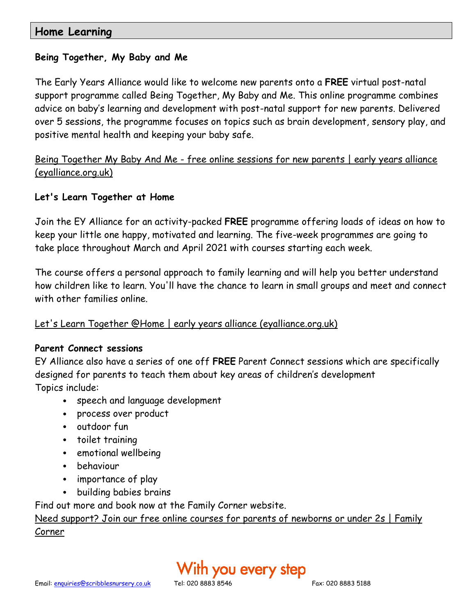## **Home Learning**

### **Being Together, My Baby and Me**

The Early Years Alliance would like to welcome new parents onto a **FREE** virtual post-natal support programme called Being Together, My Baby and Me. This online programme combines advice on baby's learning and development with post-natal support for new parents. Delivered over 5 sessions, the programme focuses on topics such as brain development, sensory play, and positive mental health and keeping your baby safe.

## Being Together My Baby And Me - [free online sessions for new parents | early years alliance](https://www.eyalliance.org.uk/being-together-my-baby-and-me-free-online-sessions-new-parents)  [\(eyalliance.org.uk\)](https://www.eyalliance.org.uk/being-together-my-baby-and-me-free-online-sessions-new-parents)

### **Let's Learn Together at Home**

Join the EY Alliance for an activity-packed **FREE** programme offering loads of ideas on how to keep your little one happy, motivated and learning. The five-week programmes are going to take place throughout March and April 2021 with courses starting each week.

The course offers a personal approach to family learning and will help you better understand how children like to learn. You'll have the chance to learn in small groups and meet and connect with other families online.

### [Let's Learn Together @Home | early years alliance \(eyalliance.org.uk\)](https://www.eyalliance.org.uk/lets-learn-together-home)

### **Parent Connect sessions**

EY Alliance also have a series of one off **FREE** Parent Connect sessions which are specifically designed for parents to teach them about key areas of children's development Topics include:

- speech and language development
- process over product
- outdoor fun
- toilet training
- emotional wellbeing
- behaviour
- importance of play
- building babies brains

Find out more and book now at the Family Corner website.

[Need support? Join our free online courses for parents of newborns or under 2s | Family](https://www.familycorner.co.uk/need-support-join-our-free-online-courses-parents-newborns-or-under-2s)  [Corner](https://www.familycorner.co.uk/need-support-join-our-free-online-courses-parents-newborns-or-under-2s)

# ith you every step